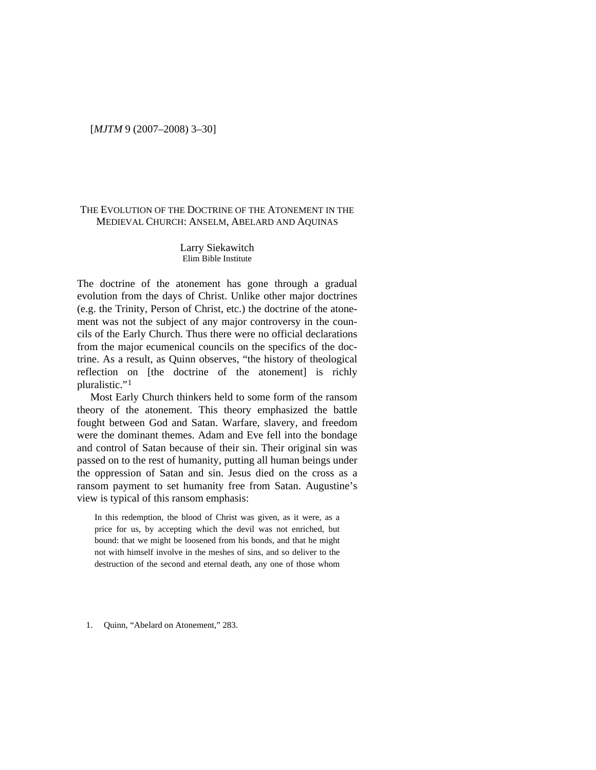## THE EVOLUTION OF THE DOCTRINE OF THE ATONEMENT IN THE MEDIEVAL CHURCH: ANSELM, ABELARD AND AQUINAS

### Larry Siekawitch Elim Bible Institute

The doctrine of the atonement has gone through a gradual evolution from the days of Christ. Unlike other major doctrines (e.g. the Trinity, Person of Christ, etc.) the doctrine of the atonement was not the subject of any major controversy in the councils of the Early Church. Thus there were no official declarations from the major ecumenical councils on the specifics of the doctrine. As a result, as Quinn observes, "the history of theological reflection on [the doctrine of the atonement] is richly pluralistic."[1](#page-0-0)

Most Early Church thinkers held to some form of the ransom theory of the atonement. This theory emphasized the battle fought between God and Satan. Warfare, slavery, and freedom were the dominant themes. Adam and Eve fell into the bondage and control of Satan because of their sin. Their original sin was passed on to the rest of humanity, putting all human beings under the oppression of Satan and sin. Jesus died on the cross as a ransom payment to set humanity free from Satan. Augustine's view is typical of this ransom emphasis:

In this redemption, the blood of Christ was given, as it were, as a price for us, by accepting which the devil was not enriched, but bound: that we might be loosened from his bonds, and that he might not with himself involve in the meshes of sins, and so deliver to the destruction of the second and eternal death, any one of those whom

<span id="page-0-0"></span>1. Quinn, "Abelard on Atonement," 283.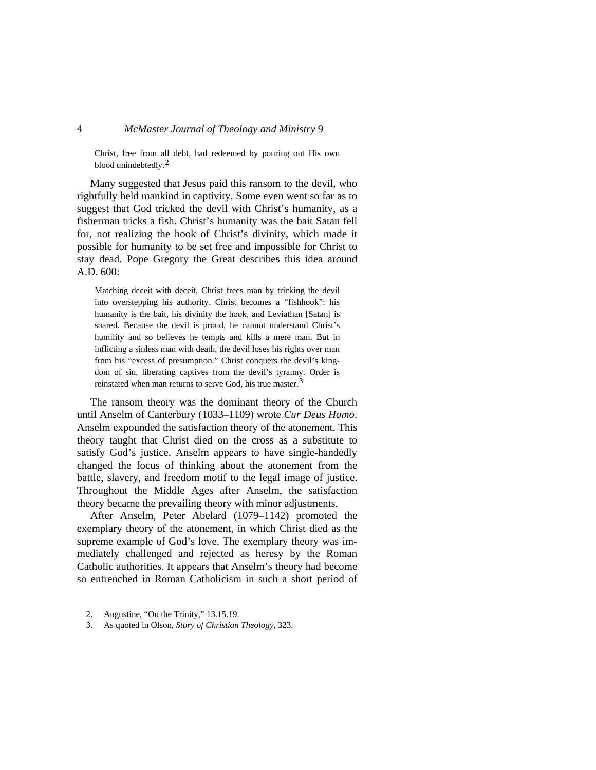Christ, free from all debt, had redeemed by pouring out His own blood unindebtedly.[2](#page-1-0)

Many suggested that Jesus paid this ransom to the devil, who rightfully held mankind in captivity. Some even went so far as to suggest that God tricked the devil with Christ's humanity, as a fisherman tricks a fish. Christ's humanity was the bait Satan fell for, not realizing the hook of Christ's divinity, which made it possible for humanity to be set free and impossible for Christ to stay dead. Pope Gregory the Great describes this idea around A.D. 600:

Matching deceit with deceit, Christ frees man by tricking the devil into overstepping his authority. Christ becomes a "fishhook": his humanity is the bait, his divinity the hook, and Leviathan [Satan] is snared. Because the devil is proud, he cannot understand Christ's humility and so believes he tempts and kills a mere man. But in inflicting a sinless man with death, the devil loses his rights over man from his "excess of presumption." Christ conquers the devil's kingdom of sin, liberating captives from the devil's tyranny. Order is reinstated when man returns to serve God, his true master.<sup>[3](#page-1-1)</sup>

The ransom theory was the dominant theory of the Church until Anselm of Canterbury (1033–1109) wrote *Cur Deus Homo*. Anselm expounded the satisfaction theory of the atonement. This theory taught that Christ died on the cross as a substitute to satisfy God's justice. Anselm appears to have single-handedly changed the focus of thinking about the atonement from the battle, slavery, and freedom motif to the legal image of justice. Throughout the Middle Ages after Anselm, the satisfaction theory became the prevailing theory with minor adjustments.

After Anselm, Peter Abelard (1079–1142) promoted the exemplary theory of the atonement, in which Christ died as the supreme example of God's love. The exemplary theory was immediately challenged and rejected as heresy by the Roman Catholic authorities. It appears that Anselm's theory had become so entrenched in Roman Catholicism in such a short period of

<span id="page-1-0"></span><sup>2.</sup> Augustine, "On the Trinity," 13.15.19.

<span id="page-1-1"></span><sup>3.</sup> As quoted in Olson, *Story of Christian Theology*, 323.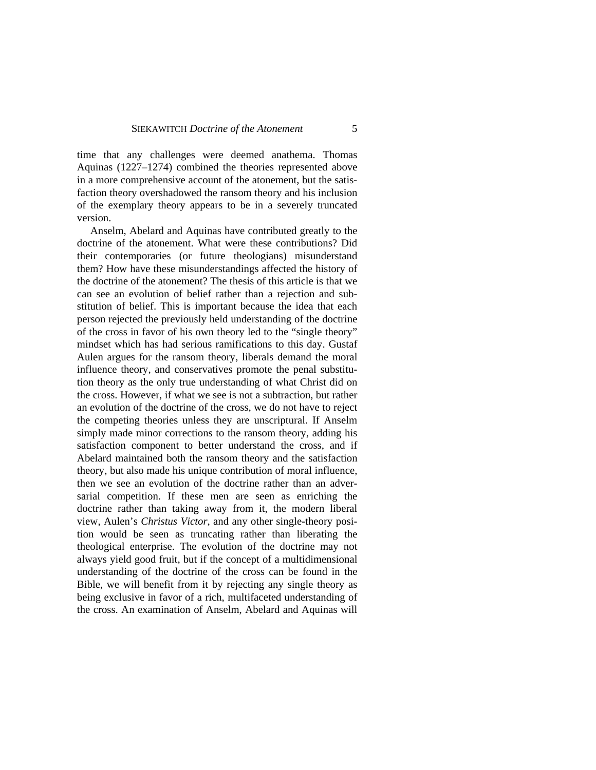time that any challenges were deemed anathema. Thomas Aquinas (1227–1274) combined the theories represented above in a more comprehensive account of the atonement, but the satisfaction theory overshadowed the ransom theory and his inclusion of the exemplary theory appears to be in a severely truncated version.

Anselm, Abelard and Aquinas have contributed greatly to the doctrine of the atonement. What were these contributions? Did their contemporaries (or future theologians) misunderstand them? How have these misunderstandings affected the history of the doctrine of the atonement? The thesis of this article is that we can see an evolution of belief rather than a rejection and substitution of belief. This is important because the idea that each person rejected the previously held understanding of the doctrine of the cross in favor of his own theory led to the "single theory" mindset which has had serious ramifications to this day. Gustaf Aulen argues for the ransom theory, liberals demand the moral influence theory, and conservatives promote the penal substitution theory as the only true understanding of what Christ did on the cross. However, if what we see is not a subtraction, but rather an evolution of the doctrine of the cross, we do not have to reject the competing theories unless they are unscriptural. If Anselm simply made minor corrections to the ransom theory, adding his satisfaction component to better understand the cross, and if Abelard maintained both the ransom theory and the satisfaction theory, but also made his unique contribution of moral influence, then we see an evolution of the doctrine rather than an adversarial competition. If these men are seen as enriching the doctrine rather than taking away from it, the modern liberal view, Aulen's *Christus Victor*, and any other single-theory position would be seen as truncating rather than liberating the theological enterprise. The evolution of the doctrine may not always yield good fruit, but if the concept of a multidimensional understanding of the doctrine of the cross can be found in the Bible, we will benefit from it by rejecting any single theory as being exclusive in favor of a rich, multifaceted understanding of the cross. An examination of Anselm, Abelard and Aquinas will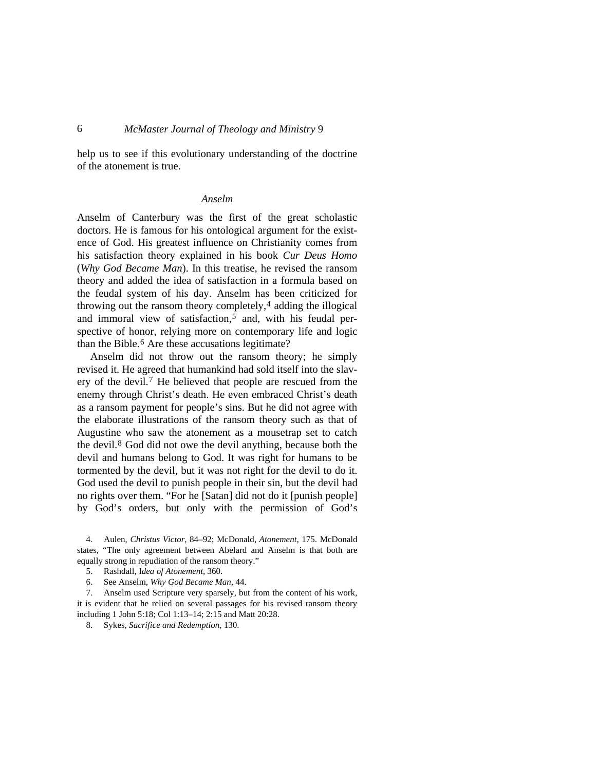help us to see if this evolutionary understanding of the doctrine of the atonement is true.

### *Anselm*

Anselm of Canterbury was the first of the great scholastic doctors. He is famous for his ontological argument for the existence of God. His greatest influence on Christianity comes from his satisfaction theory explained in his book *Cur Deus Homo* (*Why God Became Man*). In this treatise, he revised the ransom theory and added the idea of satisfaction in a formula based on the feudal system of his day. Anselm has been criticized for throwing out the ransom theory completely, $4$  adding the illogical and immoral view of satisfaction,<sup>[5](#page-3-1)</sup> and, with his feudal perspective of honor, relying more on contemporary life and logic than the Bible.[6](#page-3-2) Are these accusations legitimate?

Anselm did not throw out the ransom theory; he simply revised it. He agreed that humankind had sold itself into the slavery of the devil.[7](#page-3-3) He believed that people are rescued from the enemy through Christ's death. He even embraced Christ's death as a ransom payment for people's sins. But he did not agree with the elaborate illustrations of the ransom theory such as that of Augustine who saw the atonement as a mousetrap set to catch the devil.[8](#page-3-4) God did not owe the devil anything, because both the devil and humans belong to God. It was right for humans to be tormented by the devil, but it was not right for the devil to do it. God used the devil to punish people in their sin, but the devil had no rights over them. "For he [Satan] did not do it [punish people] by God's orders, but only with the permission of God's

<span id="page-3-0"></span>4. Aulen, *Christus Victor*, 84–92; McDonald, *Atonement*, 175. McDonald states, "The only agreement between Abelard and Anselm is that both are equally strong in repudiation of the ransom theory."

6. See Anselm, *Why God Became Man*, 44.

<span id="page-3-4"></span><span id="page-3-3"></span><span id="page-3-2"></span><span id="page-3-1"></span>7. Anselm used Scripture very sparsely, but from the content of his work, it is evident that he relied on several passages for his revised ransom theory including 1 John 5:18; Col 1:13–14; 2:15 and Matt 20:28.

8. Sykes, *Sacrifice and Redemption*, 130.

<sup>5.</sup> Rashdall, I*dea of Atonement*, 360.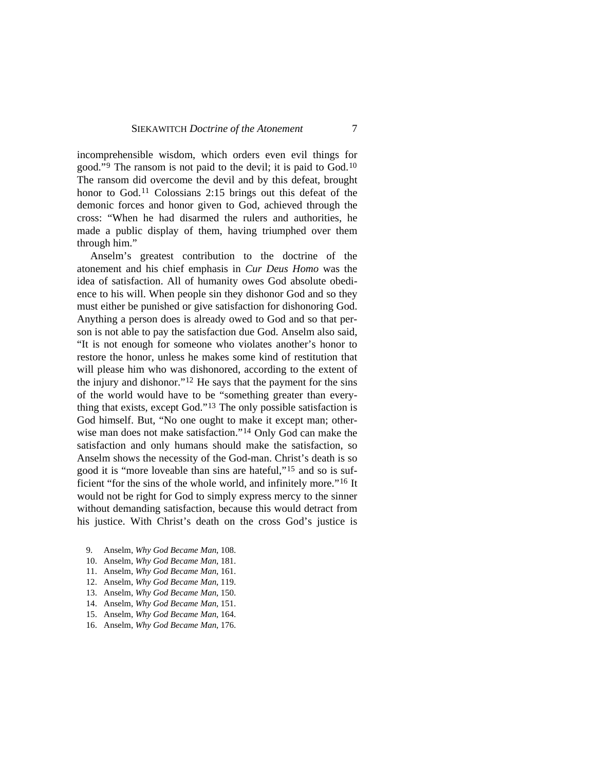incomprehensible wisdom, which orders even evil things for good."[9](#page-4-0) The ransom is not paid to the devil; it is paid to God.[10](#page-4-1) The ransom did overcome the devil and by this defeat, brought honor to God.<sup>[11](#page-4-2)</sup> Colossians 2:15 brings out this defeat of the demonic forces and honor given to God, achieved through the cross: "When he had disarmed the rulers and authorities, he made a public display of them, having triumphed over them through him."

Anselm's greatest contribution to the doctrine of the atonement and his chief emphasis in *Cur Deus Homo* was the idea of satisfaction. All of humanity owes God absolute obedience to his will. When people sin they dishonor God and so they must either be punished or give satisfaction for dishonoring God. Anything a person does is already owed to God and so that person is not able to pay the satisfaction due God. Anselm also said, "It is not enough for someone who violates another's honor to restore the honor, unless he makes some kind of restitution that will please him who was dishonored, according to the extent of the injury and dishonor."[12](#page-4-3) He says that the payment for the sins of the world would have to be "something greater than everything that exists, except God."[13](#page-4-4) The only possible satisfaction is God himself. But, "No one ought to make it except man; otherwise man does not make satisfaction."[14](#page-4-5) Only God can make the satisfaction and only humans should make the satisfaction, so Anselm shows the necessity of the God-man. Christ's death is so good it is "more loveable than sins are hateful,"[15](#page-4-6) and so is sufficient "for the sins of the whole world, and infinitely more."[16](#page-4-7) It would not be right for God to simply express mercy to the sinner without demanding satisfaction, because this would detract from his justice. With Christ's death on the cross God's justice is

- <span id="page-4-1"></span><span id="page-4-0"></span>9. Anselm, *Why God Became Man*, 108.
- 10. Anselm, *Why God Became Man*, 181.
- <span id="page-4-2"></span>11. Anselm, *Why God Became Man*, 161.
- <span id="page-4-3"></span>12. Anselm, *Why God Became Man*, 119.
- <span id="page-4-4"></span>13. Anselm, *Why God Became Man*, 150.
- <span id="page-4-5"></span>14. Anselm, *Why God Became Man*, 151.
- <span id="page-4-6"></span>15. Anselm, *Why God Became Man*, 164.
- <span id="page-4-7"></span>16. Anselm, *Why God Became Man*, 176.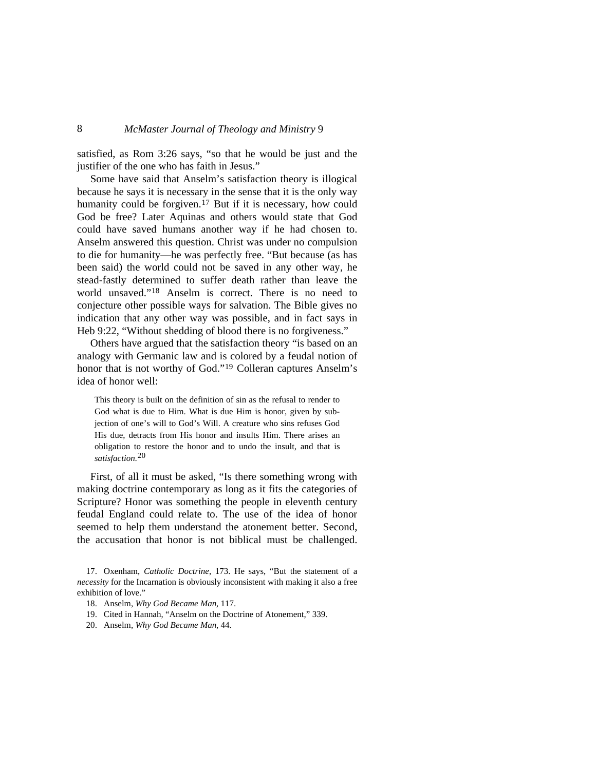satisfied, as Rom 3:26 says, "so that he would be just and the justifier of the one who has faith in Jesus."

Some have said that Anselm's satisfaction theory is illogical because he says it is necessary in the sense that it is the only way humanity could be forgiven.<sup>[17](#page-5-0)</sup> But if it is necessary, how could God be free? Later Aquinas and others would state that God could have saved humans another way if he had chosen to. Anselm answered this question. Christ was under no compulsion to die for humanity—he was perfectly free. "But because (as has been said) the world could not be saved in any other way, he stead-fastly determined to suffer death rather than leave the world unsaved."[18](#page-5-1) Anselm is correct. There is no need to conjecture other possible ways for salvation. The Bible gives no indication that any other way was possible, and in fact says in Heb 9:22, "Without shedding of blood there is no forgiveness."

Others have argued that the satisfaction theory "is based on an analogy with Germanic law and is colored by a feudal notion of honor that is not worthy of God."[19](#page-5-2) Colleran captures Anselm's idea of honor well:

This theory is built on the definition of sin as the refusal to render to God what is due to Him. What is due Him is honor, given by subjection of one's will to God's Will. A creature who sins refuses God His due, detracts from His honor and insults Him. There arises an obligation to restore the honor and to undo the insult, and that is *satisfaction*. [20](#page-5-3)

First, of all it must be asked, "Is there something wrong with making doctrine contemporary as long as it fits the categories of Scripture? Honor was something the people in eleventh century feudal England could relate to. The use of the idea of honor seemed to help them understand the atonement better. Second, the accusation that honor is not biblical must be challenged.

- <span id="page-5-2"></span>19. Cited in Hannah, "Anselm on the Doctrine of Atonement," 339.
- <span id="page-5-3"></span>20. Anselm, *Why God Became Man*, 44.

<span id="page-5-1"></span><span id="page-5-0"></span><sup>17.</sup> Oxenham, *Catholic Doctrine*, 173. He says, "But the statement of a *necessity* for the Incarnation is obviously inconsistent with making it also a free exhibition of love."

<sup>18.</sup> Anselm, *Why God Became Man*, 117.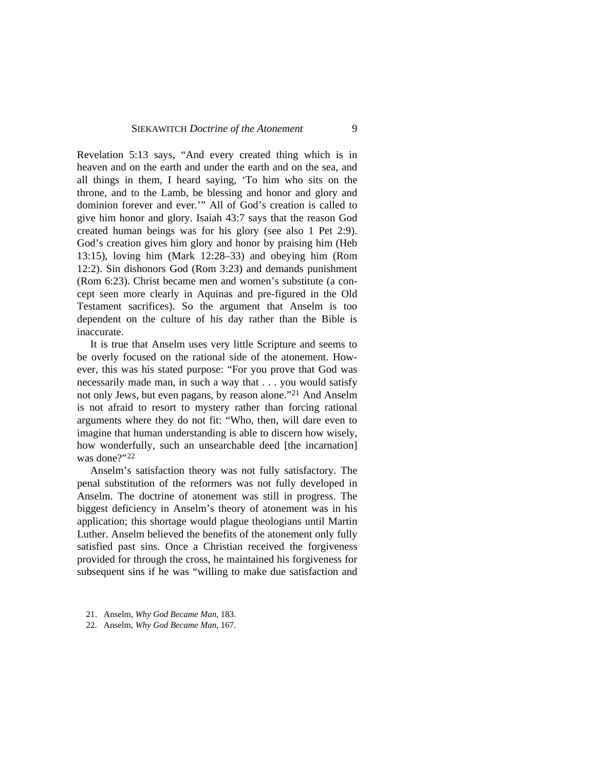Revelation 5:13 says, "And every created thing which is in heaven and on the earth and under the earth and on the sea, and all things in them, I heard saying, 'To him who sits on the throne, and to the Lamb, be blessing and honor and glory and dominion forever and ever.'" All of God's creation is called to give him honor and glory. Isaiah 43:7 says that the reason God created human beings was for his glory (see also 1 Pet 2:9). God's creation gives him glory and honor by praising him (Heb 13:15), loving him (Mark 12:28–33) and obeying him (Rom 12:2). Sin dishonors God (Rom 3:23) and demands punishment (Rom 6:23). Christ became men and women's substitute (a concept seen more clearly in Aquinas and pre-figured in the Old Testament sacrifices). So the argument that Anselm is too dependent on the culture of his day rather than the Bible is inaccurate.

It is true that Anselm uses very little Scripture and seems to be overly focused on the rational side of the atonement. However, this was his stated purpose: "For you prove that God was necessarily made man, in such a way that . . . you would satisfy not only Jews, but even pagans, by reason alone."[21](#page-6-0) And Anselm is not afraid to resort to mystery rather than forcing rational arguments where they do not fit: "Who, then, will dare even to imagine that human understanding is able to discern how wisely, how wonderfully, such an unsearchable deed [the incarnation] was done?"[22](#page-6-1)

Anselm's satisfaction theory was not fully satisfactory. The penal substitution of the reformers was not fully developed in Anselm. The doctrine of atonement was still in progress. The biggest deficiency in Anselm's theory of atonement was in his application; this shortage would plague theologians until Martin Luther. Anselm believed the benefits of the atonement only fully satisfied past sins. Once a Christian received the forgiveness provided for through the cross, he maintained his forgiveness for subsequent sins if he was "willing to make due satisfaction and

- <span id="page-6-0"></span>21. Anselm, *Why God Became Man*, 183.
- <span id="page-6-1"></span>22. Anselm, *Why God Became Man*, 167.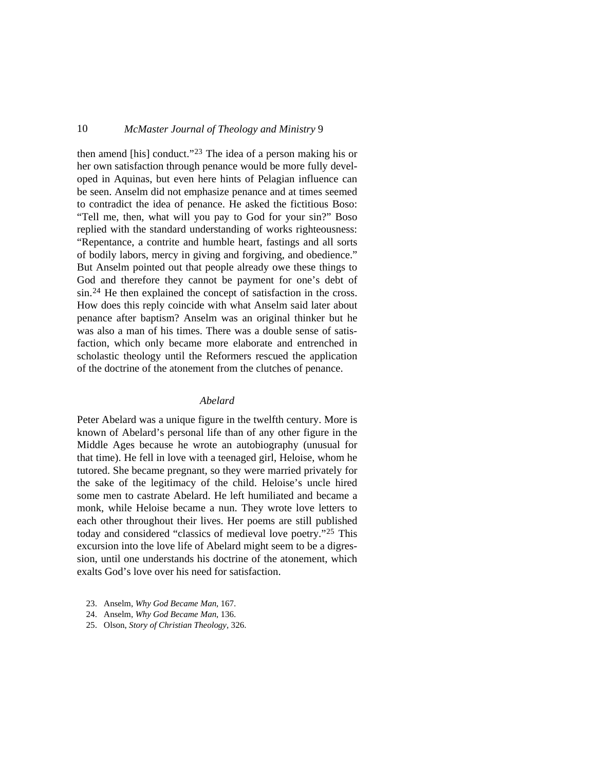then amend [his] conduct."[23](#page-7-0) The idea of a person making his or her own satisfaction through penance would be more fully developed in Aquinas, but even here hints of Pelagian influence can be seen. Anselm did not emphasize penance and at times seemed to contradict the idea of penance. He asked the fictitious Boso: "Tell me, then, what will you pay to God for your sin?" Boso replied with the standard understanding of works righteousness: "Repentance, a contrite and humble heart, fastings and all sorts of bodily labors, mercy in giving and forgiving, and obedience." But Anselm pointed out that people already owe these things to God and therefore they cannot be payment for one's debt of sin.[24](#page-7-1) He then explained the concept of satisfaction in the cross. How does this reply coincide with what Anselm said later about penance after baptism? Anselm was an original thinker but he was also a man of his times. There was a double sense of satisfaction, which only became more elaborate and entrenched in scholastic theology until the Reformers rescued the application of the doctrine of the atonement from the clutches of penance.

### *Abelard*

Peter Abelard was a unique figure in the twelfth century. More is known of Abelard's personal life than of any other figure in the Middle Ages because he wrote an autobiography (unusual for that time). He fell in love with a teenaged girl, Heloise, whom he tutored. She became pregnant, so they were married privately for the sake of the legitimacy of the child. Heloise's uncle hired some men to castrate Abelard. He left humiliated and became a monk, while Heloise became a nun. They wrote love letters to each other throughout their lives. Her poems are still published today and considered "classics of medieval love poetry."[25](#page-7-2) This excursion into the love life of Abelard might seem to be a digression, until one understands his doctrine of the atonement, which exalts God's love over his need for satisfaction.

- <span id="page-7-0"></span>23. Anselm, *Why God Became Man*, 167.
- <span id="page-7-1"></span>24. Anselm, *Why God Became Man*, 136.
- <span id="page-7-2"></span>25. Olson, *Story of Christian Theology*, 326.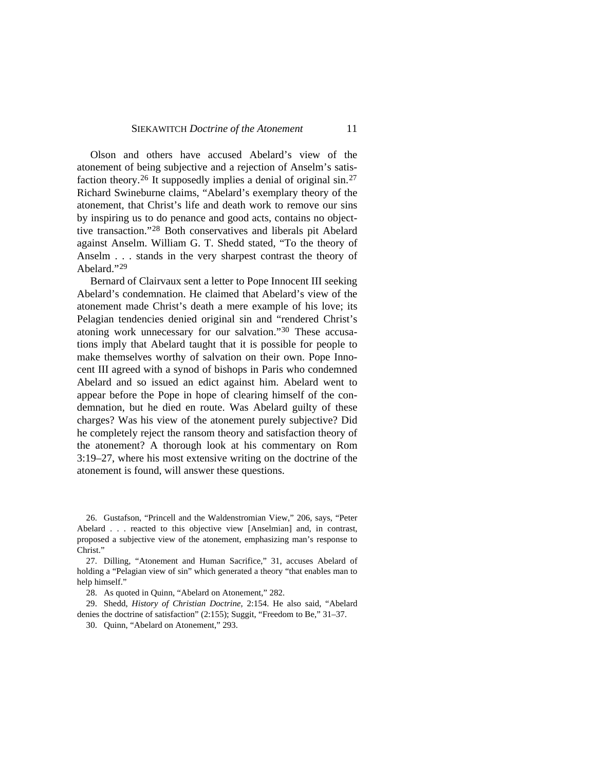#### SIEKAWITCH *Doctrine of the Atonement* 11

Olson and others have accused Abelard's view of the atonement of being subjective and a rejection of Anselm's satis-faction theory.<sup>[26](#page-8-0)</sup> It supposedly implies a denial of original sin.<sup>[27](#page-8-1)</sup> Richard Swineburne claims, "Abelard's exemplary theory of the atonement, that Christ's life and death work to remove our sins by inspiring us to do penance and good acts, contains no objecttive transaction."[28](#page-8-2) Both conservatives and liberals pit Abelard against Anselm. William G. T. Shedd stated, "To the theory of Anselm . . . stands in the very sharpest contrast the theory of Abelard."[29](#page-8-3)

Bernard of Clairvaux sent a letter to Pope Innocent III seeking Abelard's condemnation. He claimed that Abelard's view of the atonement made Christ's death a mere example of his love; its Pelagian tendencies denied original sin and "rendered Christ's atoning work unnecessary for our salvation."[30](#page-8-4) These accusations imply that Abelard taught that it is possible for people to make themselves worthy of salvation on their own. Pope Innocent III agreed with a synod of bishops in Paris who condemned Abelard and so issued an edict against him. Abelard went to appear before the Pope in hope of clearing himself of the condemnation, but he died en route. Was Abelard guilty of these charges? Was his view of the atonement purely subjective? Did he completely reject the ransom theory and satisfaction theory of the atonement? A thorough look at his commentary on Rom 3:19–27, where his most extensive writing on the doctrine of the atonement is found, will answer these questions.

<span id="page-8-0"></span>26. Gustafson, "Princell and the Waldenstromian View," 206, says, "Peter Abelard . . . reacted to this objective view [Anselmian] and, in contrast, proposed a subjective view of the atonement, emphasizing man's response to Christ."

<span id="page-8-1"></span>27. Dilling, "Atonement and Human Sacrifice," 31, accuses Abelard of holding a "Pelagian view of sin" which generated a theory "that enables man to help himself."

28. As quoted in Quinn, "Abelard on Atonement," 282.

<span id="page-8-4"></span><span id="page-8-3"></span><span id="page-8-2"></span>29. Shedd, *History of Christian Doctrine*, 2:154. He also said, "Abelard denies the doctrine of satisfaction" (2:155); Suggit, "Freedom to Be," 31–37.

30. Quinn, "Abelard on Atonement," 293.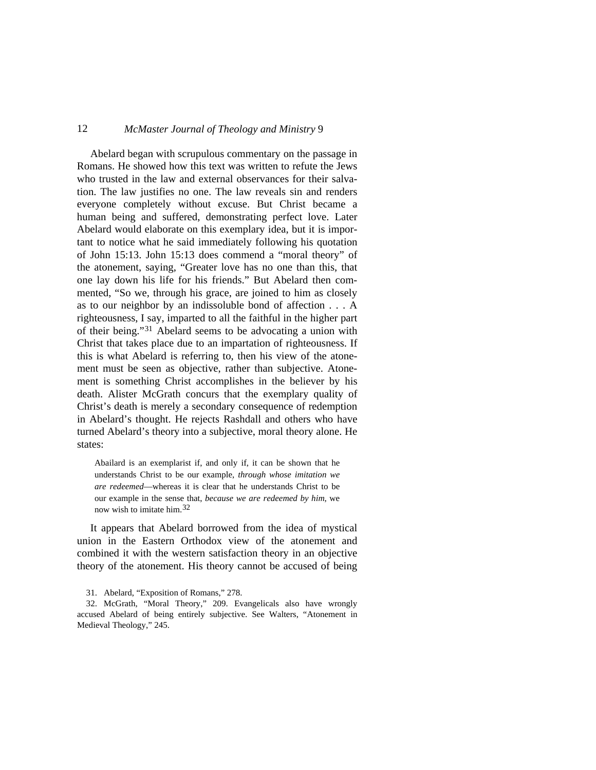Abelard began with scrupulous commentary on the passage in Romans. He showed how this text was written to refute the Jews who trusted in the law and external observances for their salvation. The law justifies no one. The law reveals sin and renders everyone completely without excuse. But Christ became a human being and suffered, demonstrating perfect love. Later Abelard would elaborate on this exemplary idea, but it is important to notice what he said immediately following his quotation of John 15:13. John 15:13 does commend a "moral theory" of the atonement, saying, "Greater love has no one than this, that one lay down his life for his friends." But Abelard then commented, "So we, through his grace, are joined to him as closely as to our neighbor by an indissoluble bond of affection . . . A righteousness, I say, imparted to all the faithful in the higher part of their being."[31](#page-9-0) Abelard seems to be advocating a union with Christ that takes place due to an impartation of righteousness. If this is what Abelard is referring to, then his view of the atonement must be seen as objective, rather than subjective. Atonement is something Christ accomplishes in the believer by his death. Alister McGrath concurs that the exemplary quality of Christ's death is merely a secondary consequence of redemption in Abelard's thought. He rejects Rashdall and others who have turned Abelard's theory into a subjective, moral theory alone. He states:

Abailard is an exemplarist if, and only if, it can be shown that he understands Christ to be our example, *through whose imitation we are redeemed*—whereas it is clear that he understands Christ to be our example in the sense that, *because we are redeemed by him*, we now wish to imitate him.[32](#page-9-1)

It appears that Abelard borrowed from the idea of mystical union in the Eastern Orthodox view of the atonement and combined it with the western satisfaction theory in an objective theory of the atonement. His theory cannot be accused of being

<sup>31.</sup> Abelard, "Exposition of Romans," 278.

<span id="page-9-1"></span><span id="page-9-0"></span><sup>32.</sup> McGrath, "Moral Theory," 209. Evangelicals also have wrongly accused Abelard of being entirely subjective. See Walters, "Atonement in Medieval Theology," 245.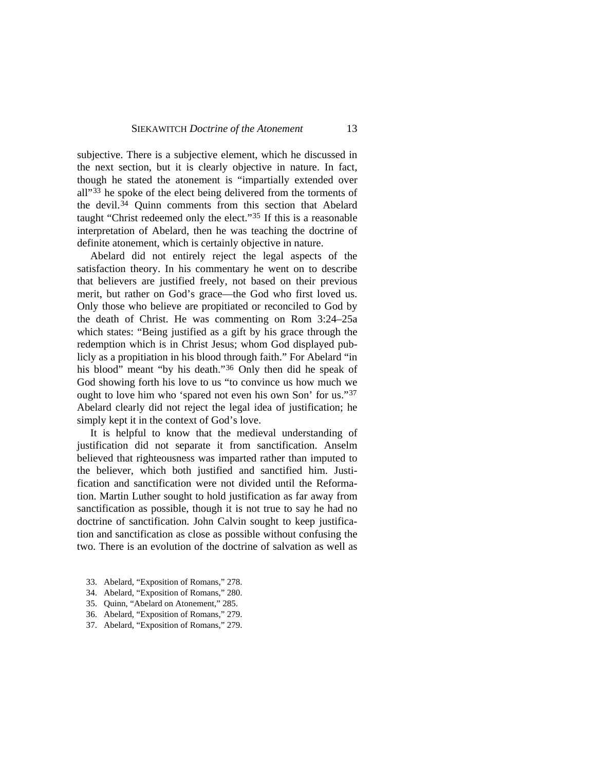subjective. There is a subjective element, which he discussed in the next section, but it is clearly objective in nature. In fact, though he stated the atonement is "impartially extended over all"<sup>[33](#page-10-0)</sup> he spoke of the elect being delivered from the torments of the devil.[34](#page-10-1) Quinn comments from this section that Abelard taught "Christ redeemed only the elect."[35](#page-10-2) If this is a reasonable interpretation of Abelard, then he was teaching the doctrine of definite atonement, which is certainly objective in nature.

Abelard did not entirely reject the legal aspects of the satisfaction theory. In his commentary he went on to describe that believers are justified freely, not based on their previous merit, but rather on God's grace—the God who first loved us. Only those who believe are propitiated or reconciled to God by the death of Christ. He was commenting on Rom 3:24–25a which states: "Being justified as a gift by his grace through the redemption which is in Christ Jesus; whom God displayed publicly as a propitiation in his blood through faith." For Abelard "in his blood" meant "by his death."<sup>[36](#page-10-3)</sup> Only then did he speak of God showing forth his love to us "to convince us how much we ought to love him who 'spared not even his own Son' for us."[37](#page-10-4) Abelard clearly did not reject the legal idea of justification; he simply kept it in the context of God's love.

It is helpful to know that the medieval understanding of justification did not separate it from sanctification. Anselm believed that righteousness was imparted rather than imputed to the believer, which both justified and sanctified him. Justification and sanctification were not divided until the Reformation. Martin Luther sought to hold justification as far away from sanctification as possible, though it is not true to say he had no doctrine of sanctification. John Calvin sought to keep justification and sanctification as close as possible without confusing the two. There is an evolution of the doctrine of salvation as well as

- <span id="page-10-0"></span>33. Abelard, "Exposition of Romans," 278.
- <span id="page-10-1"></span>34. Abelard, "Exposition of Romans," 280.
- <span id="page-10-2"></span>35. Quinn, "Abelard on Atonement," 285.
- <span id="page-10-3"></span>36. Abelard, "Exposition of Romans," 279.
- <span id="page-10-4"></span>37. Abelard, "Exposition of Romans," 279.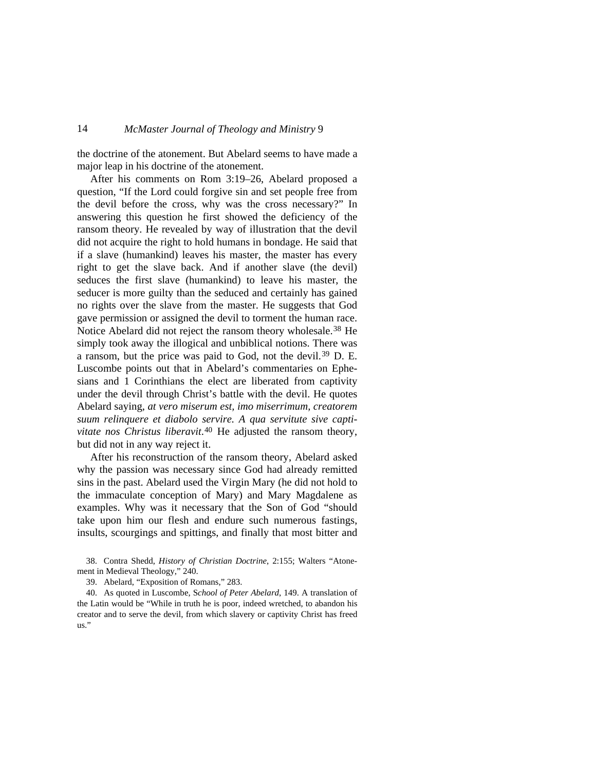the doctrine of the atonement. But Abelard seems to have made a major leap in his doctrine of the atonement.

After his comments on Rom 3:19–26, Abelard proposed a question, "If the Lord could forgive sin and set people free from the devil before the cross, why was the cross necessary?" In answering this question he first showed the deficiency of the ransom theory. He revealed by way of illustration that the devil did not acquire the right to hold humans in bondage. He said that if a slave (humankind) leaves his master, the master has every right to get the slave back. And if another slave (the devil) seduces the first slave (humankind) to leave his master, the seducer is more guilty than the seduced and certainly has gained no rights over the slave from the master. He suggests that God gave permission or assigned the devil to torment the human race. Notice Abelard did not reject the ransom theory wholesale.[38](#page-11-0) He simply took away the illogical and unbiblical notions. There was a ransom, but the price was paid to God, not the devil.[39](#page-11-1) D. E. Luscombe points out that in Abelard's commentaries on Ephesians and 1 Corinthians the elect are liberated from captivity under the devil through Christ's battle with the devil. He quotes Abelard saying, *at vero miserum est, imo miserrimum, creatorem suum relinquere et diabolo servire. A qua servitute sive captivitate nos Christus liberavit*.[40](#page-11-2) He adjusted the ransom theory, but did not in any way reject it.

After his reconstruction of the ransom theory, Abelard asked why the passion was necessary since God had already remitted sins in the past. Abelard used the Virgin Mary (he did not hold to the immaculate conception of Mary) and Mary Magdalene as examples. Why was it necessary that the Son of God "should take upon him our flesh and endure such numerous fastings, insults, scourgings and spittings, and finally that most bitter and

<span id="page-11-0"></span>38. Contra Shedd, *History of Christian Doctrine*, 2:155; Walters "Atonement in Medieval Theology," 240.

39. Abelard, "Exposition of Romans," 283.

<span id="page-11-2"></span><span id="page-11-1"></span>40. As quoted in Luscombe, S*chool of Peter Abelard*, 149. A translation of the Latin would be "While in truth he is poor, indeed wretched, to abandon his creator and to serve the devil, from which slavery or captivity Christ has freed us."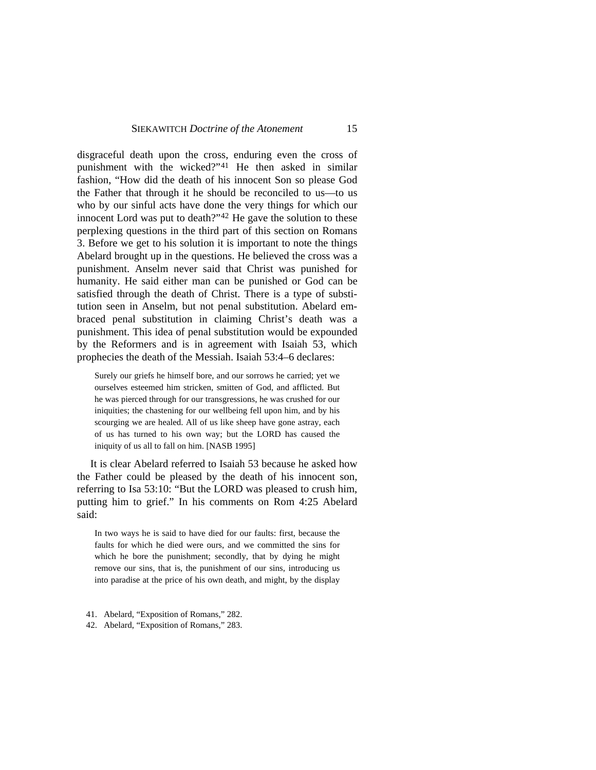disgraceful death upon the cross, enduring even the cross of punishment with the wicked?"[41](#page-12-0) He then asked in similar fashion, "How did the death of his innocent Son so please God the Father that through it he should be reconciled to us—to us who by our sinful acts have done the very things for which our innocent Lord was put to death?"[42](#page-12-1) He gave the solution to these perplexing questions in the third part of this section on Romans 3. Before we get to his solution it is important to note the things Abelard brought up in the questions. He believed the cross was a punishment. Anselm never said that Christ was punished for humanity. He said either man can be punished or God can be satisfied through the death of Christ. There is a type of substitution seen in Anselm, but not penal substitution. Abelard embraced penal substitution in claiming Christ's death was a punishment. This idea of penal substitution would be expounded by the Reformers and is in agreement with Isaiah 53, which prophecies the death of the Messiah. Isaiah 53:4–6 declares:

Surely our griefs he himself bore, and our sorrows he carried; yet we ourselves esteemed him stricken, smitten of God, and afflicted. But he was pierced through for our transgressions, he was crushed for our iniquities; the chastening for our wellbeing fell upon him, and by his scourging we are healed. All of us like sheep have gone astray, each of us has turned to his own way; but the LORD has caused the iniquity of us all to fall on him. [NASB 1995]

It is clear Abelard referred to Isaiah 53 because he asked how the Father could be pleased by the death of his innocent son, referring to Isa 53:10: "But the LORD was pleased to crush him, putting him to grief." In his comments on Rom 4:25 Abelard said:

In two ways he is said to have died for our faults: first, because the faults for which he died were ours, and we committed the sins for which he bore the punishment; secondly, that by dying he might remove our sins, that is, the punishment of our sins, introducing us into paradise at the price of his own death, and might, by the display

- <span id="page-12-0"></span>41. Abelard, "Exposition of Romans," 282.
- <span id="page-12-1"></span>42. Abelard, "Exposition of Romans," 283.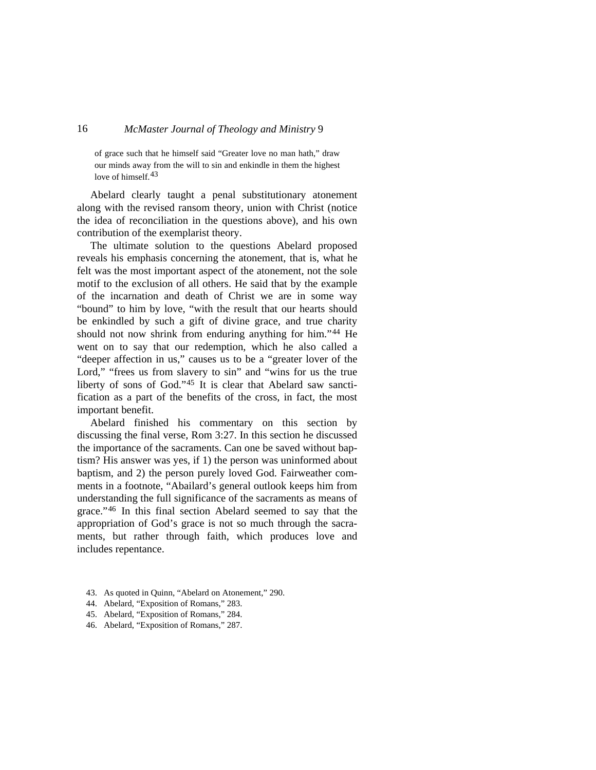of grace such that he himself said "Greater love no man hath," draw our minds away from the will to sin and enkindle in them the highest love of himself.<sup>[43](#page-13-0)</sup>

Abelard clearly taught a penal substitutionary atonement along with the revised ransom theory, union with Christ (notice the idea of reconciliation in the questions above), and his own contribution of the exemplarist theory.

The ultimate solution to the questions Abelard proposed reveals his emphasis concerning the atonement, that is, what he felt was the most important aspect of the atonement, not the sole motif to the exclusion of all others. He said that by the example of the incarnation and death of Christ we are in some way "bound" to him by love, "with the result that our hearts should be enkindled by such a gift of divine grace, and true charity should not now shrink from enduring anything for him."<sup>[44](#page-13-1)</sup> He went on to say that our redemption, which he also called a "deeper affection in us," causes us to be a "greater lover of the Lord," "frees us from slavery to sin" and "wins for us the true liberty of sons of God."[45](#page-13-2) It is clear that Abelard saw sanctification as a part of the benefits of the cross, in fact, the most important benefit.

Abelard finished his commentary on this section by discussing the final verse, Rom 3:27. In this section he discussed the importance of the sacraments. Can one be saved without baptism? His answer was yes, if 1) the person was uninformed about baptism, and 2) the person purely loved God. Fairweather comments in a footnote, "Abailard's general outlook keeps him from understanding the full significance of the sacraments as means of grace."[46](#page-13-3) In this final section Abelard seemed to say that the appropriation of God's grace is not so much through the sacraments, but rather through faith, which produces love and includes repentance.

- <span id="page-13-0"></span>43. As quoted in Quinn, "Abelard on Atonement," 290.
- <span id="page-13-1"></span>44. Abelard, "Exposition of Romans," 283.
- <span id="page-13-2"></span>45. Abelard, "Exposition of Romans," 284.
- <span id="page-13-3"></span>46. Abelard, "Exposition of Romans," 287.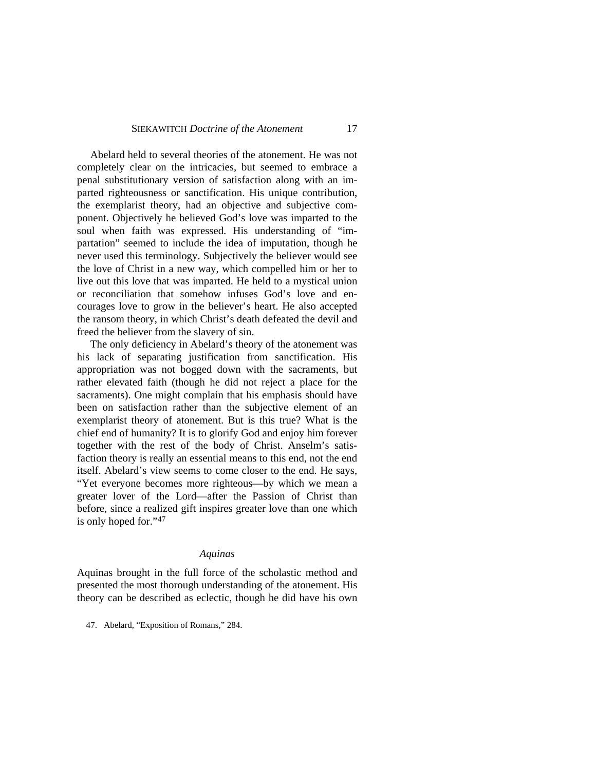#### SIEKAWITCH *Doctrine of the Atonement* 17

Abelard held to several theories of the atonement. He was not completely clear on the intricacies, but seemed to embrace a penal substitutionary version of satisfaction along with an imparted righteousness or sanctification. His unique contribution, the exemplarist theory, had an objective and subjective component. Objectively he believed God's love was imparted to the soul when faith was expressed. His understanding of "impartation" seemed to include the idea of imputation, though he never used this terminology. Subjectively the believer would see the love of Christ in a new way, which compelled him or her to live out this love that was imparted. He held to a mystical union or reconciliation that somehow infuses God's love and encourages love to grow in the believer's heart. He also accepted the ransom theory, in which Christ's death defeated the devil and freed the believer from the slavery of sin.

The only deficiency in Abelard's theory of the atonement was his lack of separating justification from sanctification. His appropriation was not bogged down with the sacraments, but rather elevated faith (though he did not reject a place for the sacraments). One might complain that his emphasis should have been on satisfaction rather than the subjective element of an exemplarist theory of atonement. But is this true? What is the chief end of humanity? It is to glorify God and enjoy him forever together with the rest of the body of Christ. Anselm's satisfaction theory is really an essential means to this end, not the end itself. Abelard's view seems to come closer to the end. He says, "Yet everyone becomes more righteous—by which we mean a greater lover of the Lord—after the Passion of Christ than before, since a realized gift inspires greater love than one which is only hoped for."[47](#page-14-0)

#### *Aquinas*

Aquinas brought in the full force of the scholastic method and presented the most thorough understanding of the atonement. His theory can be described as eclectic, though he did have his own

<span id="page-14-0"></span>47. Abelard, "Exposition of Romans," 284.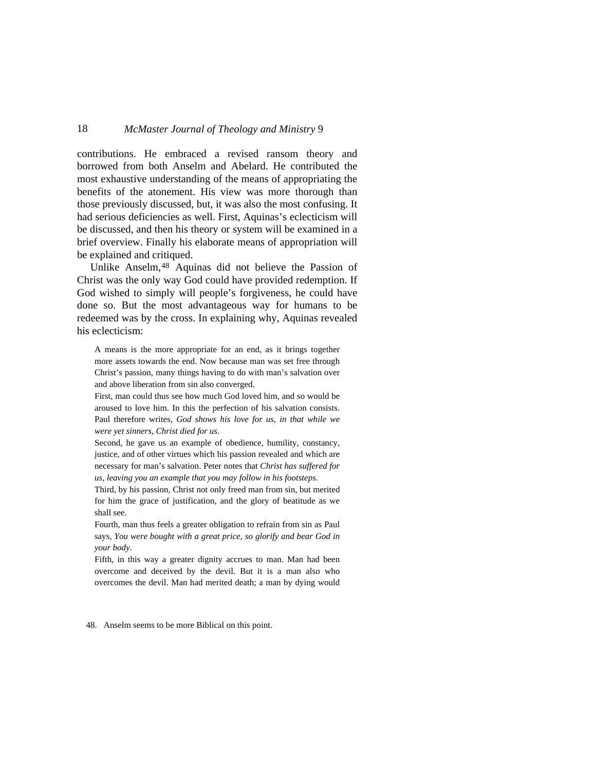contributions. He embraced a revised ransom theory and borrowed from both Anselm and Abelard. He contributed the most exhaustive understanding of the means of appropriating the benefits of the atonement. His view was more thorough than those previously discussed, but, it was also the most confusing. It had serious deficiencies as well. First, Aquinas's eclecticism will be discussed, and then his theory or system will be examined in a brief overview. Finally his elaborate means of appropriation will be explained and critiqued.

Unlike Anselm, <sup>[48](#page-15-0)</sup> Aquinas did not believe the Passion of Christ was the only way God could have provided redemption. If God wished to simply will people's forgiveness, he could have done so. But the most advantageous way for humans to be redeemed was by the cross. In explaining why, Aquinas revealed his eclecticism:

A means is the more appropriate for an end, as it brings together more assets towards the end. Now because man was set free through Christ's passion, many things having to do with man's salvation over and above liberation from sin also converged.

First, man could thus see how much God loved him, and so would be aroused to love him. In this the perfection of his salvation consists. Paul therefore writes, *God shows his love for us, in that while we were yet sinners, Christ died for us*.

Second, he gave us an example of obedience, humility, constancy, justice, and of other virtues which his passion revealed and which are necessary for man's salvation. Peter notes that *Christ has suffered for us, leaving you an example that you may follow in his footsteps*.

Third, by his passion, Christ not only freed man from sin, but merited for him the grace of justification, and the glory of beatitude as we shall see.

Fourth, man thus feels a greater obligation to refrain from sin as Paul says, *You were bought with a great price, so glorify and bear God in your body*.

Fifth, in this way a greater dignity accrues to man. Man had been overcome and deceived by the devil. But it is a man also who overcomes the devil. Man had merited death; a man by dying would

<span id="page-15-0"></span>48. Anselm seems to be more Biblical on this point.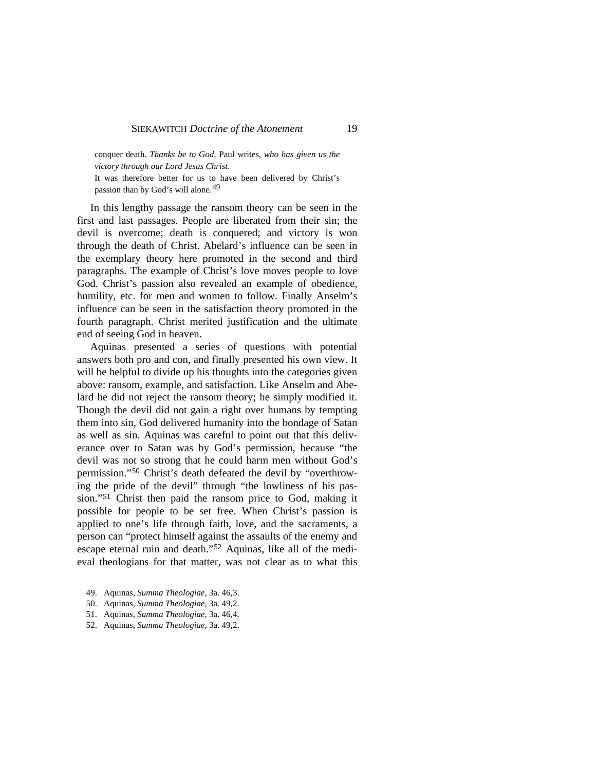conquer death. *Thanks be to God*, Paul writes, *who has given us the victory through our Lord Jesus Christ*.

It was therefore better for us to have been delivered by Christ's passion than by God's will alone.[49](#page-16-0)

In this lengthy passage the ransom theory can be seen in the first and last passages. People are liberated from their sin; the devil is overcome; death is conquered; and victory is won through the death of Christ. Abelard's influence can be seen in the exemplary theory here promoted in the second and third paragraphs. The example of Christ's love moves people to love God. Christ's passion also revealed an example of obedience, humility, etc. for men and women to follow. Finally Anselm's influence can be seen in the satisfaction theory promoted in the fourth paragraph. Christ merited justification and the ultimate end of seeing God in heaven.

Aquinas presented a series of questions with potential answers both pro and con, and finally presented his own view. It will be helpful to divide up his thoughts into the categories given above: ransom, example, and satisfaction. Like Anselm and Abelard he did not reject the ransom theory; he simply modified it. Though the devil did not gain a right over humans by tempting them into sin, God delivered humanity into the bondage of Satan as well as sin. Aquinas was careful to point out that this deliverance over to Satan was by God's permission, because "the devil was not so strong that he could harm men without God's permission."[50](#page-16-1) Christ's death defeated the devil by "overthrowing the pride of the devil" through "the lowliness of his passion."[51](#page-16-2) Christ then paid the ransom price to God, making it possible for people to be set free. When Christ's passion is applied to one's life through faith, love, and the sacraments, a person can "protect himself against the assaults of the enemy and escape eternal ruin and death."[52](#page-16-3) Aquinas, like all of the medieval theologians for that matter, was not clear as to what this

- <span id="page-16-0"></span>49. Aquinas, *Summa Theologiae*, 3a. 46,3.
- <span id="page-16-1"></span>50. Aquinas, *Summa Theologiae*, 3a. 49,2.
- <span id="page-16-2"></span>51. Aquinas, *Summa Theologiae*, 3a. 46,4.
- <span id="page-16-3"></span>52. Aquinas, *Summa Theologiae*, 3a. 49,2.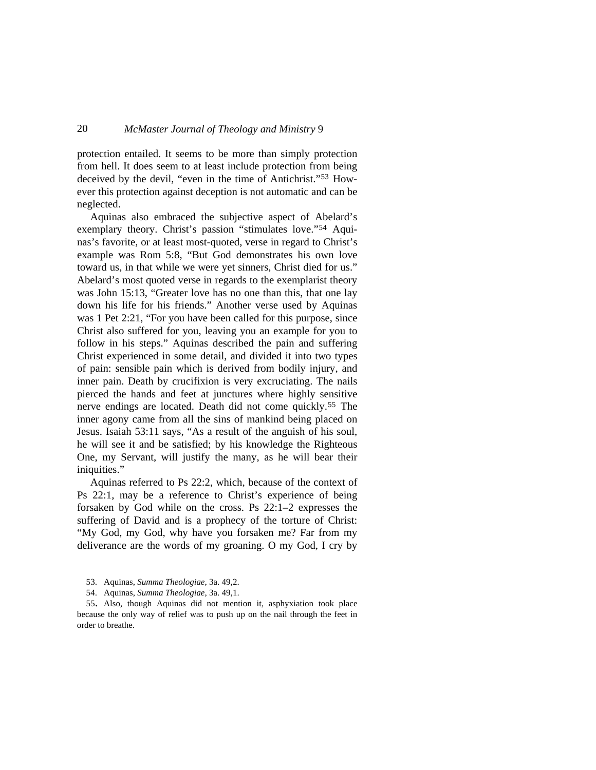protection entailed. It seems to be more than simply protection from hell. It does seem to at least include protection from being deceived by the devil, "even in the time of Antichrist."[53](#page-17-0) However this protection against deception is not automatic and can be neglected.

Aquinas also embraced the subjective aspect of Abelard's exemplary theory. Christ's passion "stimulates love."<sup>[54](#page-17-1)</sup> Aquinas's favorite, or at least most-quoted, verse in regard to Christ's example was Rom 5:8, "But God demonstrates his own love toward us, in that while we were yet sinners, Christ died for us." Abelard's most quoted verse in regards to the exemplarist theory was John 15:13, "Greater love has no one than this, that one lay down his life for his friends." Another verse used by Aquinas was 1 Pet 2:21, "For you have been called for this purpose, since Christ also suffered for you, leaving you an example for you to follow in his steps." Aquinas described the pain and suffering Christ experienced in some detail, and divided it into two types of pain: sensible pain which is derived from bodily injury, and inner pain. Death by crucifixion is very excruciating. The nails pierced the hands and feet at junctures where highly sensitive nerve endings are located. Death did not come quickly.[55](#page-17-2) The inner agony came from all the sins of mankind being placed on Jesus. Isaiah 53:11 says, "As a result of the anguish of his soul, he will see it and be satisfied; by his knowledge the Righteous One, my Servant, will justify the many, as he will bear their iniquities."

Aquinas referred to Ps 22:2, which, because of the context of Ps 22:1, may be a reference to Christ's experience of being forsaken by God while on the cross. Ps 22:1–2 expresses the suffering of David and is a prophecy of the torture of Christ: "My God, my God, why have you forsaken me? Far from my deliverance are the words of my groaning. O my God, I cry by

54. Aquinas, *Summa Theologiae*, 3a. 49,1.

<span id="page-17-2"></span><span id="page-17-1"></span><span id="page-17-0"></span>55. Also, though Aquinas did not mention it, asphyxiation took place because the only way of relief was to push up on the nail through the feet in order to breathe.

<sup>53.</sup> Aquinas, *Summa Theologiae*, 3a. 49,2.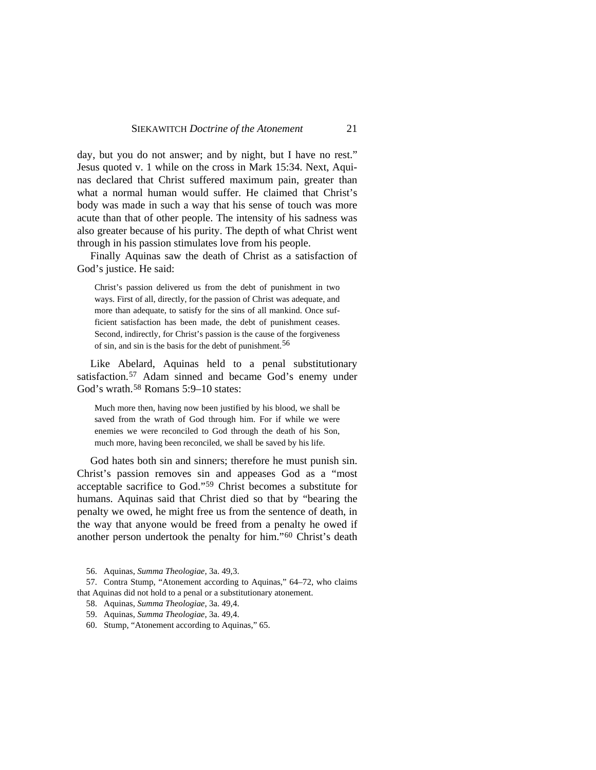day, but you do not answer; and by night, but I have no rest." Jesus quoted v. 1 while on the cross in Mark 15:34. Next, Aquinas declared that Christ suffered maximum pain, greater than what a normal human would suffer. He claimed that Christ's body was made in such a way that his sense of touch was more acute than that of other people. The intensity of his sadness was also greater because of his purity. The depth of what Christ went through in his passion stimulates love from his people.

Finally Aquinas saw the death of Christ as a satisfaction of God's justice. He said:

Christ's passion delivered us from the debt of punishment in two ways. First of all, directly, for the passion of Christ was adequate, and more than adequate, to satisfy for the sins of all mankind. Once sufficient satisfaction has been made, the debt of punishment ceases. Second, indirectly, for Christ's passion is the cause of the forgiveness of sin, and sin is the basis for the debt of punishment.[56](#page-18-0)

Like Abelard, Aquinas held to a penal substitutionary satisfaction.[57](#page-18-1) Adam sinned and became God's enemy under God's wrath.[58](#page-18-2) Romans 5:9–10 states:

Much more then, having now been justified by his blood, we shall be saved from the wrath of God through him. For if while we were enemies we were reconciled to God through the death of his Son, much more, having been reconciled, we shall be saved by his life.

God hates both sin and sinners; therefore he must punish sin. Christ's passion removes sin and appeases God as a "most acceptable sacrifice to God."[59](#page-18-3) Christ becomes a substitute for humans. Aquinas said that Christ died so that by "bearing the penalty we owed, he might free us from the sentence of death, in the way that anyone would be freed from a penalty he owed if another person undertook the penalty for him."[60](#page-18-4) Christ's death

56. Aquinas, *Summa Theologiae*, 3a. 49,3.

<span id="page-18-3"></span><span id="page-18-2"></span><span id="page-18-1"></span><span id="page-18-0"></span>57. Contra Stump, "Atonement according to Aquinas," 64–72, who claims that Aquinas did not hold to a penal or a substitutionary atonement.

58. Aquinas, *Summa Theologiae*, 3a. 49,4.

59. Aquinas, *Summa Theologiae*, 3a. 49,4.

<span id="page-18-4"></span>60. Stump, "Atonement according to Aquinas," 65.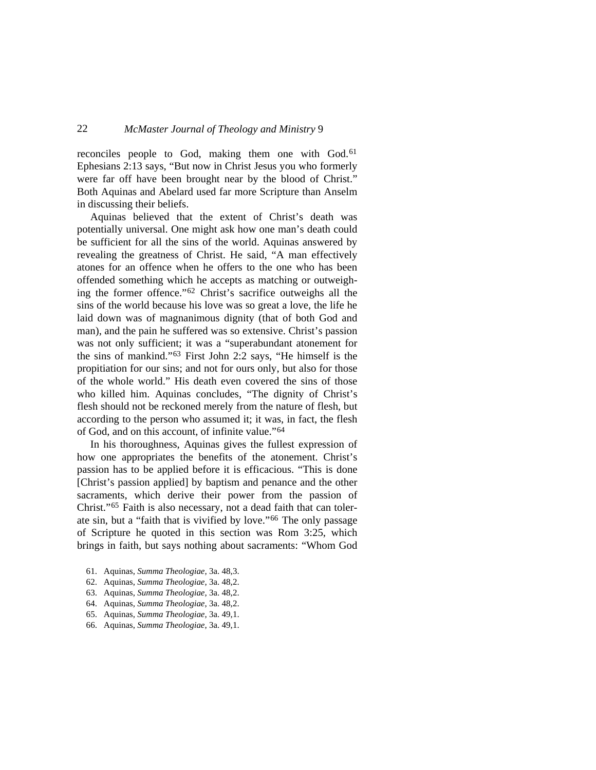reconciles people to God, making them one with God.<sup>[61](#page-19-0)</sup> Ephesians 2:13 says, "But now in Christ Jesus you who formerly were far off have been brought near by the blood of Christ." Both Aquinas and Abelard used far more Scripture than Anselm in discussing their beliefs.

Aquinas believed that the extent of Christ's death was potentially universal. One might ask how one man's death could be sufficient for all the sins of the world. Aquinas answered by revealing the greatness of Christ. He said, "A man effectively atones for an offence when he offers to the one who has been offended something which he accepts as matching or outweighing the former offence."[62](#page-19-1) Christ's sacrifice outweighs all the sins of the world because his love was so great a love, the life he laid down was of magnanimous dignity (that of both God and man), and the pain he suffered was so extensive. Christ's passion was not only sufficient; it was a "superabundant atonement for the sins of mankind."[63](#page-19-2) First John 2:2 says, "He himself is the propitiation for our sins; and not for ours only, but also for those of the whole world." His death even covered the sins of those who killed him. Aquinas concludes, "The dignity of Christ's flesh should not be reckoned merely from the nature of flesh, but according to the person who assumed it; it was, in fact, the flesh of God, and on this account, of infinite value."[64](#page-19-3)

In his thoroughness, Aquinas gives the fullest expression of how one appropriates the benefits of the atonement. Christ's passion has to be applied before it is efficacious. "This is done [Christ's passion applied] by baptism and penance and the other sacraments, which derive their power from the passion of Christ."[65](#page-19-4) Faith is also necessary, not a dead faith that can tolerate sin, but a "faith that is vivified by love."[66](#page-19-5) The only passage of Scripture he quoted in this section was Rom 3:25, which brings in faith, but says nothing about sacraments: "Whom God

- <span id="page-19-0"></span>61. Aquinas, *Summa Theologiae*, 3a. 48,3.
- <span id="page-19-1"></span>62. Aquinas, *Summa Theologiae*, 3a. 48,2.
- <span id="page-19-2"></span>63. Aquinas, *Summa Theologiae*, 3a. 48,2.
- <span id="page-19-3"></span>64. Aquinas, *Summa Theologiae*, 3a. 48,2.
- <span id="page-19-4"></span>65. Aquinas, *Summa Theologiae*, 3a. 49,1.
- <span id="page-19-5"></span>66. Aquinas, *Summa Theologiae*, 3a. 49,1.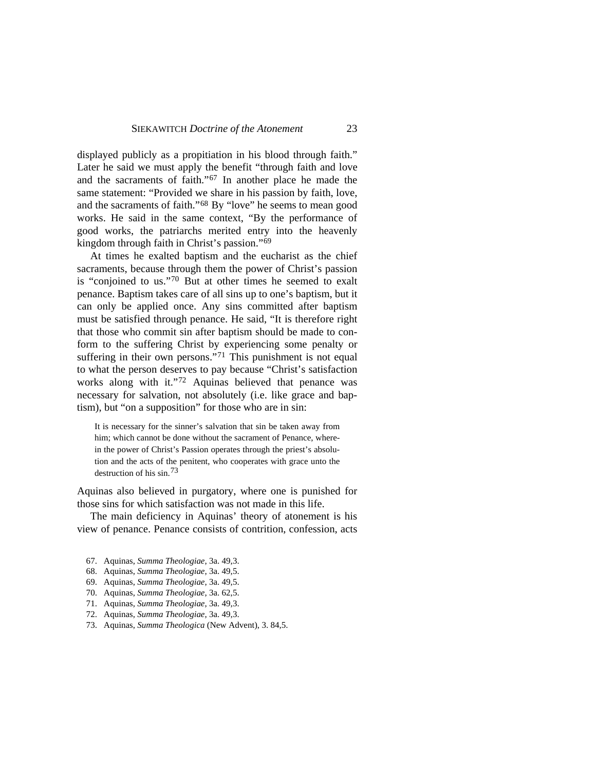displayed publicly as a propitiation in his blood through faith." Later he said we must apply the benefit "through faith and love and the sacraments of faith."[67](#page-20-0) In another place he made the same statement: "Provided we share in his passion by faith, love, and the sacraments of faith."[68](#page-20-1) By "love" he seems to mean good works. He said in the same context, "By the performance of good works, the patriarchs merited entry into the heavenly kingdom through faith in Christ's passion."[69](#page-20-2)

At times he exalted baptism and the eucharist as the chief sacraments, because through them the power of Christ's passion is "conjoined to us."[70](#page-20-3) But at other times he seemed to exalt penance. Baptism takes care of all sins up to one's baptism, but it can only be applied once. Any sins committed after baptism must be satisfied through penance. He said, "It is therefore right that those who commit sin after baptism should be made to conform to the suffering Christ by experiencing some penalty or suffering in their own persons."<sup>[71](#page-20-4)</sup> This punishment is not equal to what the person deserves to pay because "Christ's satisfaction works along with it."[72](#page-20-5) Aquinas believed that penance was necessary for salvation, not absolutely (i.e. like grace and baptism), but "on a supposition" for those who are in sin:

It is necessary for the sinner's salvation that sin be taken away from him; which cannot be done without the sacrament of Penance, wherein the power of Christ's Passion operates through the priest's absolution and the acts of the penitent, who cooperates with grace unto the destruction of his sin.[73](#page-20-6)

Aquinas also believed in purgatory, where one is punished for those sins for which satisfaction was not made in this life.

The main deficiency in Aquinas' theory of atonement is his view of penance. Penance consists of contrition, confession, acts

- <span id="page-20-0"></span>67. Aquinas, *Summa Theologiae*, 3a. 49,3.
- <span id="page-20-1"></span>68. Aquinas, *Summa Theologiae*, 3a. 49,5.
- <span id="page-20-2"></span>69. Aquinas, *Summa Theologiae*, 3a. 49,5.
- <span id="page-20-3"></span>70. Aquinas, *Summa Theologiae*, 3a. 62,5.
- <span id="page-20-4"></span>71. Aquinas, *Summa Theologiae*, 3a. 49,3.
- <span id="page-20-5"></span>72. Aquinas, *Summa Theologiae*, 3a. 49,3.
- <span id="page-20-6"></span>73. Aquinas, *Summa Theologica* (New Advent), 3. 84,5.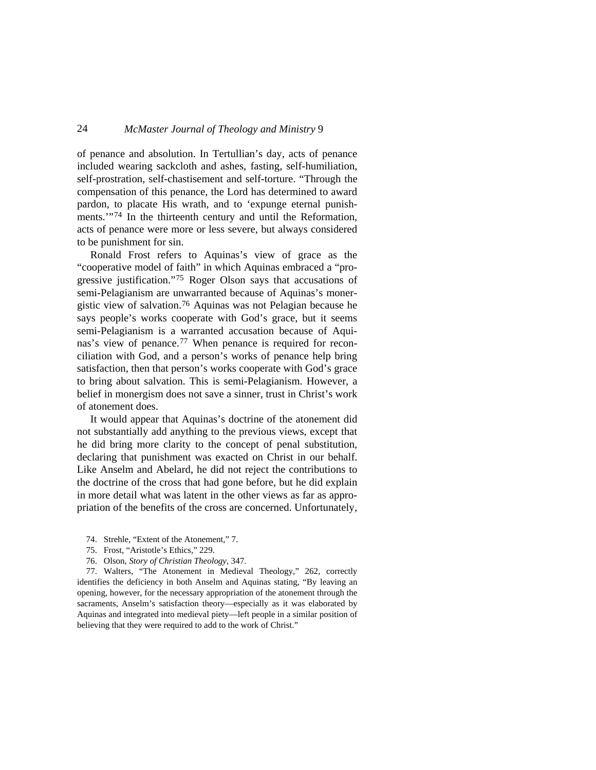of penance and absolution. In Tertullian's day, acts of penance included wearing sackcloth and ashes, fasting, self-humiliation, self-prostration, self-chastisement and self-torture. "Through the compensation of this penance, the Lord has determined to award pardon, to placate His wrath, and to 'expunge eternal punish-ments."<sup>[74](#page-21-0)</sup> In the thirteenth century and until the Reformation, acts of penance were more or less severe, but always considered to be punishment for sin.

Ronald Frost refers to Aquinas's view of grace as the "cooperative model of faith" in which Aquinas embraced a "progressive justification."[75](#page-21-1) Roger Olson says that accusations of semi-Pelagianism are unwarranted because of Aquinas's monergistic view of salvation.[76](#page-21-2) Aquinas was not Pelagian because he says people's works cooperate with God's grace, but it seems semi-Pelagianism is a warranted accusation because of Aquinas's view of penance.[77](#page-21-3) When penance is required for reconciliation with God, and a person's works of penance help bring satisfaction, then that person's works cooperate with God's grace to bring about salvation. This is semi-Pelagianism. However, a belief in monergism does not save a sinner, trust in Christ's work of atonement does.

It would appear that Aquinas's doctrine of the atonement did not substantially add anything to the previous views, except that he did bring more clarity to the concept of penal substitution, declaring that punishment was exacted on Christ in our behalf. Like Anselm and Abelard, he did not reject the contributions to the doctrine of the cross that had gone before, but he did explain in more detail what was latent in the other views as far as appropriation of the benefits of the cross are concerned. Unfortunately,

- 74. Strehle, "Extent of the Atonement," 7.
- 75. Frost, "Aristotle's Ethics," 229.
- 76. Olson, *Story of Christian Theology*, 347.

<span id="page-21-3"></span><span id="page-21-2"></span><span id="page-21-1"></span><span id="page-21-0"></span>77. Walters, "The Atonement in Medieval Theology," 262, correctly identifies the deficiency in both Anselm and Aquinas stating, "By leaving an opening, however, for the necessary appropriation of the atonement through the sacraments, Anselm's satisfaction theory—especially as it was elaborated by Aquinas and integrated into medieval piety—left people in a similar position of believing that they were required to add to the work of Christ."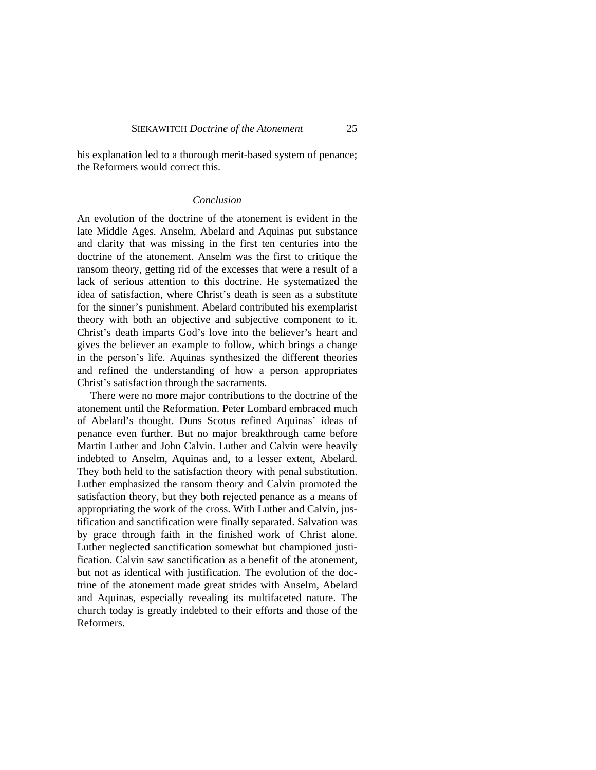his explanation led to a thorough merit-based system of penance; the Reformers would correct this.

#### *Conclusion*

An evolution of the doctrine of the atonement is evident in the late Middle Ages. Anselm, Abelard and Aquinas put substance and clarity that was missing in the first ten centuries into the doctrine of the atonement. Anselm was the first to critique the ransom theory, getting rid of the excesses that were a result of a lack of serious attention to this doctrine. He systematized the idea of satisfaction, where Christ's death is seen as a substitute for the sinner's punishment. Abelard contributed his exemplarist theory with both an objective and subjective component to it. Christ's death imparts God's love into the believer's heart and gives the believer an example to follow, which brings a change in the person's life. Aquinas synthesized the different theories and refined the understanding of how a person appropriates Christ's satisfaction through the sacraments.

There were no more major contributions to the doctrine of the atonement until the Reformation. Peter Lombard embraced much of Abelard's thought. Duns Scotus refined Aquinas' ideas of penance even further. But no major breakthrough came before Martin Luther and John Calvin. Luther and Calvin were heavily indebted to Anselm, Aquinas and, to a lesser extent, Abelard. They both held to the satisfaction theory with penal substitution. Luther emphasized the ransom theory and Calvin promoted the satisfaction theory, but they both rejected penance as a means of appropriating the work of the cross. With Luther and Calvin, justification and sanctification were finally separated. Salvation was by grace through faith in the finished work of Christ alone. Luther neglected sanctification somewhat but championed justification. Calvin saw sanctification as a benefit of the atonement, but not as identical with justification. The evolution of the doctrine of the atonement made great strides with Anselm, Abelard and Aquinas, especially revealing its multifaceted nature. The church today is greatly indebted to their efforts and those of the Reformers.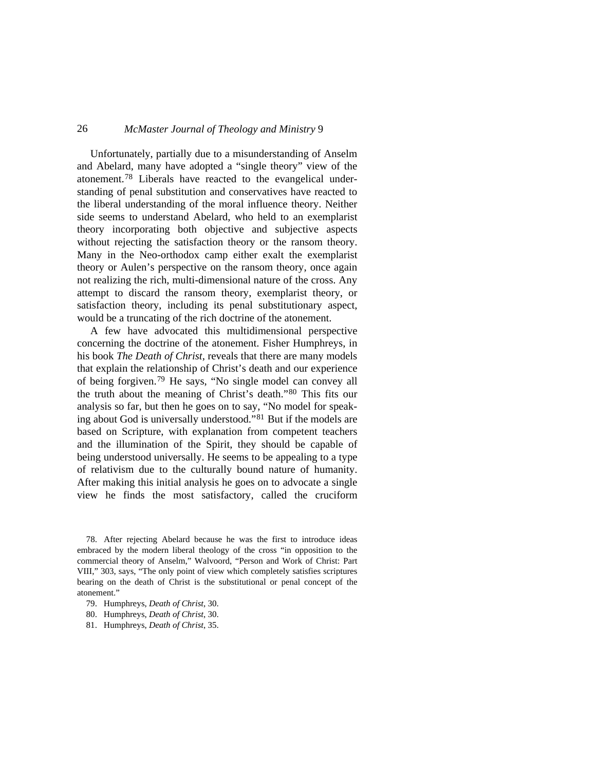Unfortunately, partially due to a misunderstanding of Anselm and Abelard, many have adopted a "single theory" view of the atonement.[78](#page-23-0) Liberals have reacted to the evangelical understanding of penal substitution and conservatives have reacted to the liberal understanding of the moral influence theory. Neither side seems to understand Abelard, who held to an exemplarist theory incorporating both objective and subjective aspects without rejecting the satisfaction theory or the ransom theory. Many in the Neo-orthodox camp either exalt the exemplarist theory or Aulen's perspective on the ransom theory, once again not realizing the rich, multi-dimensional nature of the cross. Any attempt to discard the ransom theory, exemplarist theory, or satisfaction theory, including its penal substitutionary aspect, would be a truncating of the rich doctrine of the atonement.

A few have advocated this multidimensional perspective concerning the doctrine of the atonement. Fisher Humphreys, in his book *The Death of Christ*, reveals that there are many models that explain the relationship of Christ's death and our experience of being forgiven.[79](#page-23-1) He says, "No single model can convey all the truth about the meaning of Christ's death."[80](#page-23-2) This fits our analysis so far, but then he goes on to say, "No model for speaking about God is universally understood."[81](#page-23-3) But if the models are based on Scripture, with explanation from competent teachers and the illumination of the Spirit, they should be capable of being understood universally. He seems to be appealing to a type of relativism due to the culturally bound nature of humanity. After making this initial analysis he goes on to advocate a single view he finds the most satisfactory, called the cruciform

<span id="page-23-0"></span>78. After rejecting Abelard because he was the first to introduce ideas embraced by the modern liberal theology of the cross "in opposition to the commercial theory of Anselm," Walvoord, "Person and Work of Christ: Part VIII," 303, says, "The only point of view which completely satisfies scriptures bearing on the death of Christ is the substitutional or penal concept of the atonement."

<span id="page-23-1"></span><sup>79.</sup> Humphreys, *Death of Christ*, 30.

<span id="page-23-2"></span><sup>80.</sup> Humphreys, *Death of Christ*, 30.

<span id="page-23-3"></span><sup>81.</sup> Humphreys, *Death of Christ*, 35.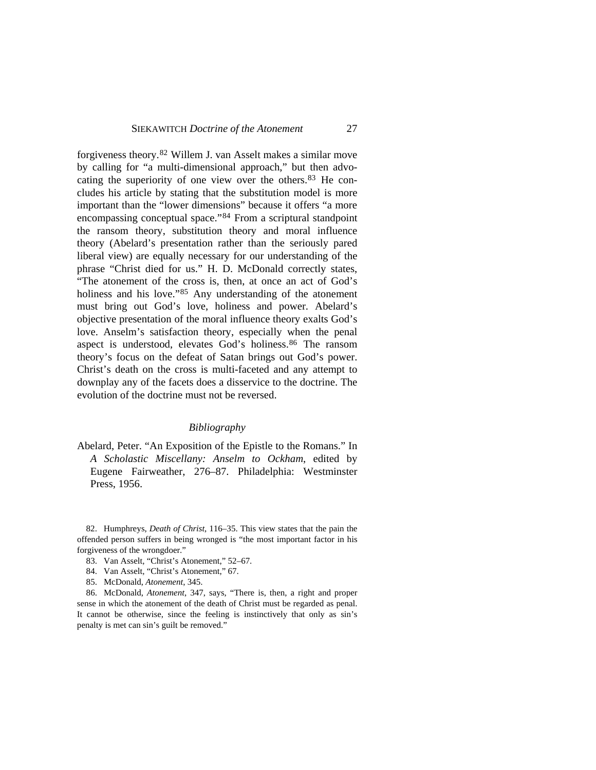forgiveness theory.[82](#page-24-0) Willem J. van Asselt makes a similar move by calling for "a multi-dimensional approach," but then advocating the superiority of one view over the others.[83](#page-24-1) He concludes his article by stating that the substitution model is more important than the "lower dimensions" because it offers "a more encompassing conceptual space."[84](#page-24-2) From a scriptural standpoint the ransom theory, substitution theory and moral influence theory (Abelard's presentation rather than the seriously pared liberal view) are equally necessary for our understanding of the phrase "Christ died for us." H. D. McDonald correctly states, "The atonement of the cross is, then, at once an act of God's holiness and his love."<sup>[85](#page-24-3)</sup> Any understanding of the atonement must bring out God's love, holiness and power. Abelard's objective presentation of the moral influence theory exalts God's love. Anselm's satisfaction theory, especially when the penal aspect is understood, elevates God's holiness.[86](#page-24-4) The ransom theory's focus on the defeat of Satan brings out God's power. Christ's death on the cross is multi-faceted and any attempt to downplay any of the facets does a disservice to the doctrine. The evolution of the doctrine must not be reversed.

### *Bibliography*

Abelard, Peter. "An Exposition of the Epistle to the Romans." In *A Scholastic Miscellany: Anselm to Ockham*, edited by Eugene Fairweather, 276–87. Philadelphia: Westminster Press, 1956.

<span id="page-24-1"></span><span id="page-24-0"></span>82. Humphreys, *Death of Christ*, 116–35. This view states that the pain the offended person suffers in being wronged is "the most important factor in his forgiveness of the wrongdoer."

- 83. Van Asselt, "Christ's Atonement," 52–67.
- 84. Van Asselt, "Christ's Atonement," 67.
- 85. McDonald, *Atonement*, 345.

<span id="page-24-4"></span><span id="page-24-3"></span><span id="page-24-2"></span>86. McDonald, *Atonement*, 347, says, "There is, then, a right and proper sense in which the atonement of the death of Christ must be regarded as penal. It cannot be otherwise, since the feeling is instinctively that only as sin's penalty is met can sin's guilt be removed."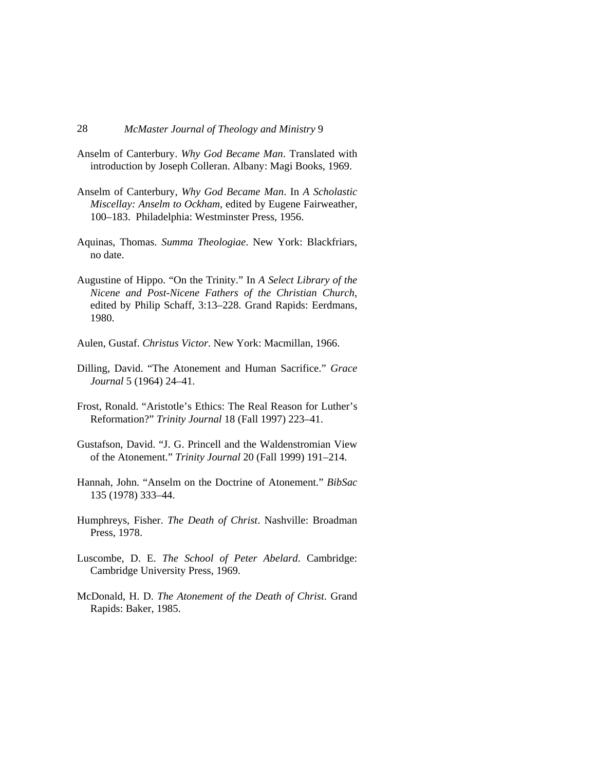- Anselm of Canterbury. *Why God Became Man*. Translated with introduction by Joseph Colleran. Albany: Magi Books, 1969.
- Anselm of Canterbury, *Why God Became Man*. In *A Scholastic Miscellay: Anselm to Ockham*, edited by Eugene Fairweather, 100–183. Philadelphia: Westminster Press, 1956.
- Aquinas, Thomas. *Summa Theologiae*. New York: Blackfriars, no date.
- Augustine of Hippo. "On the Trinity." In *A Select Library of the Nicene and Post-Nicene Fathers of the Christian Church*, edited by Philip Schaff, 3:13–228. Grand Rapids: Eerdmans, 1980.
- Aulen, Gustaf. *Christus Victor*. New York: Macmillan, 1966.
- Dilling, David. "The Atonement and Human Sacrifice." *Grace Journal* 5 (1964) 24–41.
- Frost, Ronald. "Aristotle's Ethics: The Real Reason for Luther's Reformation?" *Trinity Journal* 18 (Fall 1997) 223–41.
- Gustafson, David. "J. G. Princell and the Waldenstromian View of the Atonement." *Trinity Journal* 20 (Fall 1999) 191–214.
- Hannah, John. "Anselm on the Doctrine of Atonement." *BibSac*  135 (1978) 333–44.
- Humphreys, Fisher. *The Death of Christ*. Nashville: Broadman Press, 1978.
- Luscombe, D. E. *The School of Peter Abelard*. Cambridge: Cambridge University Press, 1969.
- McDonald, H. D. *The Atonement of the Death of Christ*. Grand Rapids: Baker, 1985.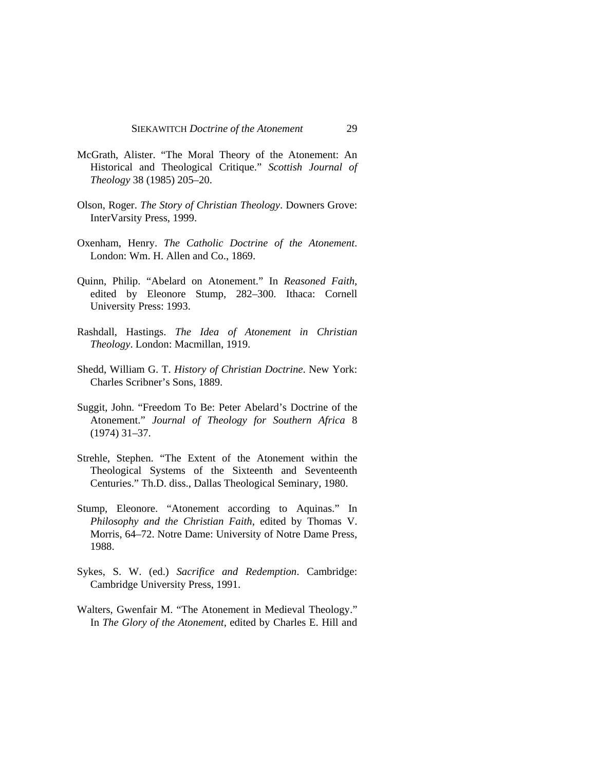- McGrath, Alister. "The Moral Theory of the Atonement: An Historical and Theological Critique." *Scottish Journal of Theology* 38 (1985) 205–20.
- Olson, Roger. *The Story of Christian Theology*. Downers Grove: InterVarsity Press, 1999.
- Oxenham, Henry. *The Catholic Doctrine of the Atonement*. London: Wm. H. Allen and Co., 1869.
- Quinn, Philip. "Abelard on Atonement." In *Reasoned Faith*, edited by Eleonore Stump, 282–300. Ithaca: Cornell University Press: 1993.
- Rashdall, Hastings. *The Idea of Atonement in Christian Theology*. London: Macmillan, 1919.
- Shedd, William G. T. *History of Christian Doctrine*. New York: Charles Scribner's Sons, 1889.
- Suggit, John. "Freedom To Be: Peter Abelard's Doctrine of the Atonement." *Journal of Theology for Southern Africa* 8 (1974) 31–37.
- Strehle, Stephen. "The Extent of the Atonement within the Theological Systems of the Sixteenth and Seventeenth Centuries." Th.D. diss., Dallas Theological Seminary, 1980.
- Stump, Eleonore. "Atonement according to Aquinas." In *Philosophy and the Christian Faith*, edited by Thomas V. Morris, 64–72. Notre Dame: University of Notre Dame Press, 1988.
- Sykes, S. W. (ed.) *Sacrifice and Redemption*. Cambridge: Cambridge University Press, 1991.
- Walters, Gwenfair M. "The Atonement in Medieval Theology." In *The Glory of the Atonement*, edited by Charles E. Hill and